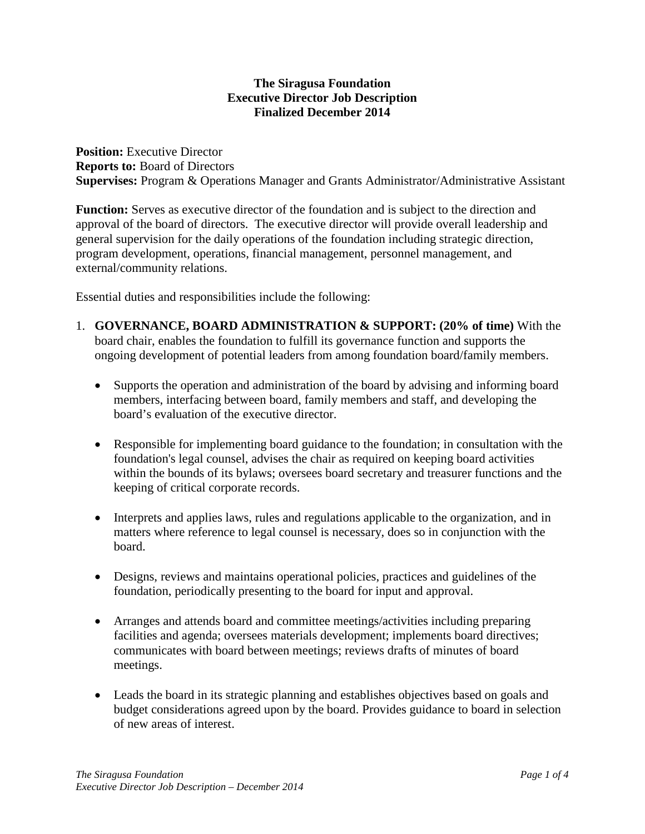## **The Siragusa Foundation Executive Director Job Description Finalized December 2014**

**Position:** Executive Director **Reports to:** Board of Directors **Supervises:** Program & Operations Manager and Grants Administrator/Administrative Assistant

**Function:** Serves as executive director of the foundation and is subject to the direction and approval of the board of directors. The executive director will provide overall leadership and general supervision for the daily operations of the foundation including strategic direction, program development, operations, financial management, personnel management, and external/community relations.

Essential duties and responsibilities include the following:

- 1. **GOVERNANCE, BOARD ADMINISTRATION & SUPPORT: (20% of time)** With the board chair, enables the foundation to fulfill its governance function and supports the ongoing development of potential leaders from among foundation board/family members.
	- Supports the operation and administration of the board by advising and informing board members, interfacing between board, family members and staff, and developing the board's evaluation of the executive director.
	- Responsible for implementing board guidance to the foundation; in consultation with the foundation's legal counsel, advises the chair as required on keeping board activities within the bounds of its bylaws; oversees board secretary and treasurer functions and the keeping of critical corporate records.
	- Interprets and applies laws, rules and regulations applicable to the organization, and in matters where reference to legal counsel is necessary, does so in conjunction with the board.
	- Designs, reviews and maintains operational policies, practices and guidelines of the foundation, periodically presenting to the board for input and approval.
	- Arranges and attends board and committee meetings/activities including preparing facilities and agenda; oversees materials development; implements board directives; communicates with board between meetings; reviews drafts of minutes of board meetings.
	- Leads the board in its strategic planning and establishes objectives based on goals and budget considerations agreed upon by the board. Provides guidance to board in selection of new areas of interest.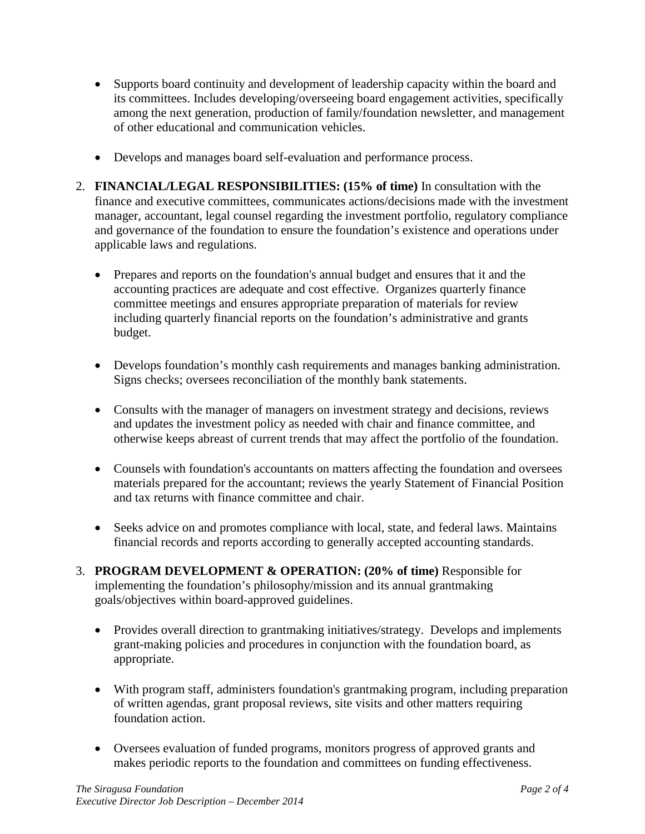- Supports board continuity and development of leadership capacity within the board and its committees. Includes developing/overseeing board engagement activities, specifically among the next generation, production of family/foundation newsletter, and management of other educational and communication vehicles.
- Develops and manages board self-evaluation and performance process.
- 2. **FINANCIAL/LEGAL RESPONSIBILITIES: (15% of time)** In consultation with the finance and executive committees, communicates actions/decisions made with the investment manager, accountant, legal counsel regarding the investment portfolio, regulatory compliance and governance of the foundation to ensure the foundation's existence and operations under applicable laws and regulations.
	- Prepares and reports on the foundation's annual budget and ensures that it and the accounting practices are adequate and cost effective. Organizes quarterly finance committee meetings and ensures appropriate preparation of materials for review including quarterly financial reports on the foundation's administrative and grants budget.
	- Develops foundation's monthly cash requirements and manages banking administration. Signs checks; oversees reconciliation of the monthly bank statements.
	- Consults with the manager of managers on investment strategy and decisions, reviews and updates the investment policy as needed with chair and finance committee, and otherwise keeps abreast of current trends that may affect the portfolio of the foundation.
	- Counsels with foundation's accountants on matters affecting the foundation and oversees materials prepared for the accountant; reviews the yearly Statement of Financial Position and tax returns with finance committee and chair.
	- Seeks advice on and promotes compliance with local, state, and federal laws. Maintains financial records and reports according to generally accepted accounting standards.
- 3. **PROGRAM DEVELOPMENT & OPERATION: (20% of time)** Responsible for implementing the foundation's philosophy/mission and its annual grantmaking goals/objectives within board-approved guidelines.
	- Provides overall direction to grantmaking initiatives/strategy. Develops and implements grant-making policies and procedures in conjunction with the foundation board, as appropriate.
	- With program staff, administers foundation's grantmaking program, including preparation of written agendas, grant proposal reviews, site visits and other matters requiring foundation action.
	- Oversees evaluation of funded programs, monitors progress of approved grants and makes periodic reports to the foundation and committees on funding effectiveness.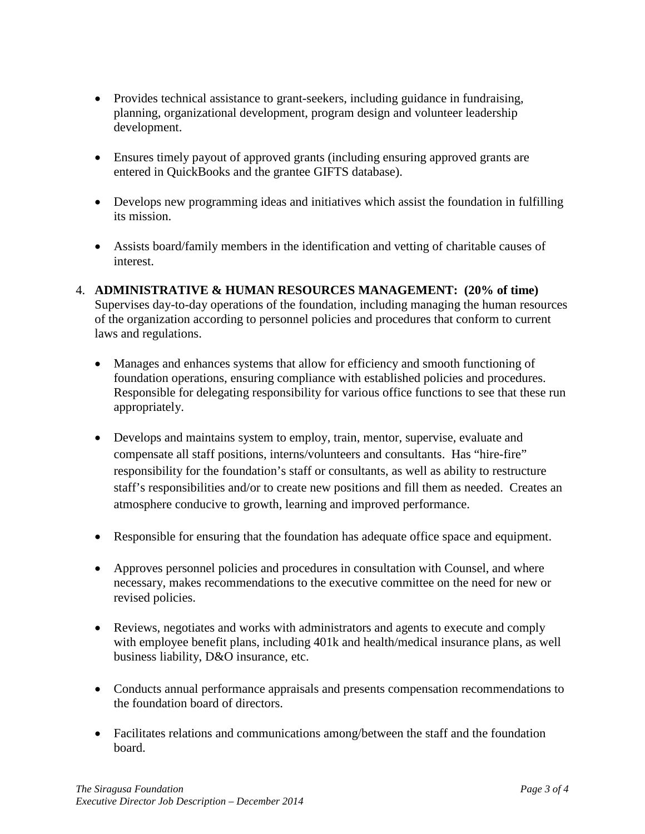- Provides technical assistance to grant-seekers, including guidance in fundraising, planning, organizational development, program design and volunteer leadership development.
- Ensures timely payout of approved grants (including ensuring approved grants are entered in QuickBooks and the grantee GIFTS database).
- Develops new programming ideas and initiatives which assist the foundation in fulfilling its mission.
- Assists board/family members in the identification and vetting of charitable causes of interest.
- 4. **ADMINISTRATIVE & HUMAN RESOURCES MANAGEMENT: (20% of time)** Supervises day-to-day operations of the foundation, including managing the human resources of the organization according to personnel policies and procedures that conform to current laws and regulations.
	- Manages and enhances systems that allow for efficiency and smooth functioning of foundation operations, ensuring compliance with established policies and procedures. Responsible for delegating responsibility for various office functions to see that these run appropriately.
	- Develops and maintains system to employ, train, mentor, supervise, evaluate and compensate all staff positions, interns/volunteers and consultants. Has "hire-fire" responsibility for the foundation's staff or consultants, as well as ability to restructure staff's responsibilities and/or to create new positions and fill them as needed. Creates an atmosphere conducive to growth, learning and improved performance.
	- Responsible for ensuring that the foundation has adequate office space and equipment.
	- Approves personnel policies and procedures in consultation with Counsel, and where necessary, makes recommendations to the executive committee on the need for new or revised policies.
	- Reviews, negotiates and works with administrators and agents to execute and comply with employee benefit plans, including 401k and health/medical insurance plans, as well business liability, D&O insurance, etc.
	- Conducts annual performance appraisals and presents compensation recommendations to the foundation board of directors.
	- Facilitates relations and communications among/between the staff and the foundation board.